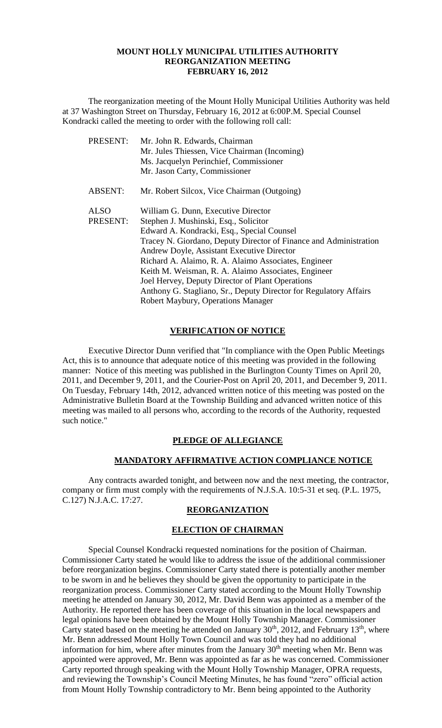### **MOUNT HOLLY MUNICIPAL UTILITIES AUTHORITY REORGANIZATION MEETING FEBRUARY 16, 2012**

The reorganization meeting of the Mount Holly Municipal Utilities Authority was held at 37 Washington Street on Thursday, February 16, 2012 at 6:00P.M. Special Counsel Kondracki called the meeting to order with the following roll call:

| PRESENT:       | Mr. John R. Edwards, Chairman                                     |
|----------------|-------------------------------------------------------------------|
|                | Mr. Jules Thiessen, Vice Chairman (Incoming)                      |
|                | Ms. Jacquelyn Perinchief, Commissioner                            |
|                | Mr. Jason Carty, Commissioner                                     |
| <b>ABSENT:</b> | Mr. Robert Silcox, Vice Chairman (Outgoing)                       |
| <b>ALSO</b>    | William G. Dunn, Executive Director                               |
| PRESENT:       | Stephen J. Mushinski, Esq., Solicitor                             |
|                | Edward A. Kondracki, Esq., Special Counsel                        |
|                | Tracey N. Giordano, Deputy Director of Finance and Administration |
|                | Andrew Doyle, Assistant Executive Director                        |
|                | Richard A. Alaimo, R. A. Alaimo Associates, Engineer              |
|                | Keith M. Weisman, R. A. Alaimo Associates, Engineer               |
|                | Joel Hervey, Deputy Director of Plant Operations                  |
|                | Anthony G. Stagliano, Sr., Deputy Director for Regulatory Affairs |
|                | Robert Maybury, Operations Manager                                |

## **VERIFICATION OF NOTICE**

Executive Director Dunn verified that "In compliance with the Open Public Meetings Act, this is to announce that adequate notice of this meeting was provided in the following manner: Notice of this meeting was published in the Burlington County Times on April 20, 2011, and December 9, 2011, and the Courier-Post on April 20, 2011, and December 9, 2011. On Tuesday, February 14th, 2012, advanced written notice of this meeting was posted on the Administrative Bulletin Board at the Township Building and advanced written notice of this meeting was mailed to all persons who, according to the records of the Authority, requested such notice."

## **PLEDGE OF ALLEGIANCE**

# **MANDATORY AFFIRMATIVE ACTION COMPLIANCE NOTICE**

Any contracts awarded tonight, and between now and the next meeting, the contractor, company or firm must comply with the requirements of N.J.S.A. 10:5-31 et seq. (P.L. 1975, C.127) N.J.A.C. 17:27.

### **REORGANIZATION**

## **ELECTION OF CHAIRMAN**

Special Counsel Kondracki requested nominations for the position of Chairman. Commissioner Carty stated he would like to address the issue of the additional commissioner before reorganization begins. Commissioner Carty stated there is potentially another member to be sworn in and he believes they should be given the opportunity to participate in the reorganization process. Commissioner Carty stated according to the Mount Holly Township meeting he attended on January 30, 2012, Mr. David Benn was appointed as a member of the Authority. He reported there has been coverage of this situation in the local newspapers and legal opinions have been obtained by the Mount Holly Township Manager. Commissioner Carty stated based on the meeting he attended on January  $30<sup>th</sup>$ ,  $2012$ , and February  $13<sup>th</sup>$ , where Mr. Benn addressed Mount Holly Town Council and was told they had no additional information for him, where after minutes from the January  $30<sup>th</sup>$  meeting when Mr. Benn was appointed were approved, Mr. Benn was appointed as far as he was concerned. Commissioner Carty reported through speaking with the Mount Holly Township Manager, OPRA requests, and reviewing the Township's Council Meeting Minutes, he has found "zero" official action from Mount Holly Township contradictory to Mr. Benn being appointed to the Authority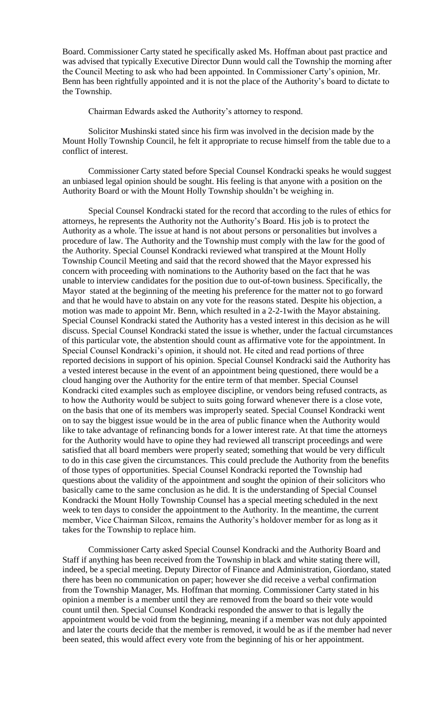Board. Commissioner Carty stated he specifically asked Ms. Hoffman about past practice and was advised that typically Executive Director Dunn would call the Township the morning after the Council Meeting to ask who had been appointed. In Commissioner Carty's opinion, Mr. Benn has been rightfully appointed and it is not the place of the Authority's board to dictate to the Township.

Chairman Edwards asked the Authority's attorney to respond.

Solicitor Mushinski stated since his firm was involved in the decision made by the Mount Holly Township Council, he felt it appropriate to recuse himself from the table due to a conflict of interest.

Commissioner Carty stated before Special Counsel Kondracki speaks he would suggest an unbiased legal opinion should be sought. His feeling is that anyone with a position on the Authority Board or with the Mount Holly Township shouldn't be weighing in.

Special Counsel Kondracki stated for the record that according to the rules of ethics for attorneys, he represents the Authority not the Authority's Board. His job is to protect the Authority as a whole. The issue at hand is not about persons or personalities but involves a procedure of law. The Authority and the Township must comply with the law for the good of the Authority. Special Counsel Kondracki reviewed what transpired at the Mount Holly Township Council Meeting and said that the record showed that the Mayor expressed his concern with proceeding with nominations to the Authority based on the fact that he was unable to interview candidates for the position due to out-of-town business. Specifically, the Mayor stated at the beginning of the meeting his preference for the matter not to go forward and that he would have to abstain on any vote for the reasons stated. Despite his objection, a motion was made to appoint Mr. Benn, which resulted in a 2-2-1with the Mayor abstaining. Special Counsel Kondracki stated the Authority has a vested interest in this decision as he will discuss. Special Counsel Kondracki stated the issue is whether, under the factual circumstances of this particular vote, the abstention should count as affirmative vote for the appointment. In Special Counsel Kondracki's opinion, it should not. He cited and read portions of three reported decisions in support of his opinion. Special Counsel Kondracki said the Authority has a vested interest because in the event of an appointment being questioned, there would be a cloud hanging over the Authority for the entire term of that member. Special Counsel Kondracki cited examples such as employee discipline, or vendors being refused contracts, as to how the Authority would be subject to suits going forward whenever there is a close vote, on the basis that one of its members was improperly seated. Special Counsel Kondracki went on to say the biggest issue would be in the area of public finance when the Authority would like to take advantage of refinancing bonds for a lower interest rate. At that time the attorneys for the Authority would have to opine they had reviewed all transcript proceedings and were satisfied that all board members were properly seated; something that would be very difficult to do in this case given the circumstances. This could preclude the Authority from the benefits of those types of opportunities. Special Counsel Kondracki reported the Township had questions about the validity of the appointment and sought the opinion of their solicitors who basically came to the same conclusion as he did. It is the understanding of Special Counsel Kondracki the Mount Holly Township Counsel has a special meeting scheduled in the next week to ten days to consider the appointment to the Authority. In the meantime, the current member, Vice Chairman Silcox, remains the Authority's holdover member for as long as it takes for the Township to replace him.

Commissioner Carty asked Special Counsel Kondracki and the Authority Board and Staff if anything has been received from the Township in black and white stating there will, indeed, be a special meeting. Deputy Director of Finance and Administration, Giordano, stated there has been no communication on paper; however she did receive a verbal confirmation from the Township Manager, Ms. Hoffman that morning. Commissioner Carty stated in his opinion a member is a member until they are removed from the board so their vote would count until then. Special Counsel Kondracki responded the answer to that is legally the appointment would be void from the beginning, meaning if a member was not duly appointed and later the courts decide that the member is removed, it would be as if the member had never been seated, this would affect every vote from the beginning of his or her appointment.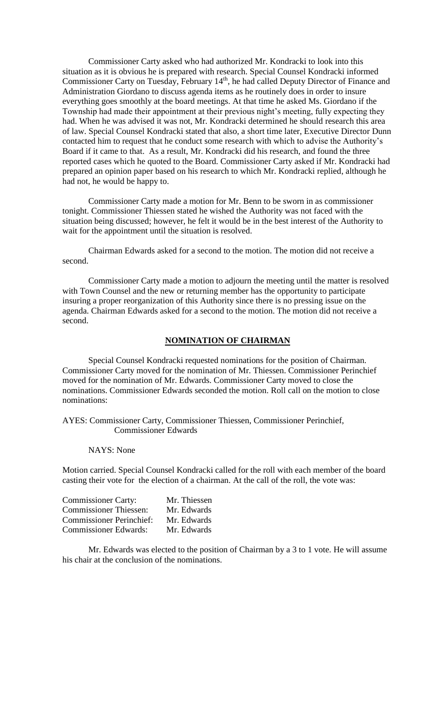Commissioner Carty asked who had authorized Mr. Kondracki to look into this situation as it is obvious he is prepared with research. Special Counsel Kondracki informed Commissioner Carty on Tuesday, February 14<sup>th</sup>, he had called Deputy Director of Finance and Administration Giordano to discuss agenda items as he routinely does in order to insure everything goes smoothly at the board meetings. At that time he asked Ms. Giordano if the Township had made their appointment at their previous night's meeting, fully expecting they had. When he was advised it was not, Mr. Kondracki determined he should research this area of law. Special Counsel Kondracki stated that also, a short time later, Executive Director Dunn contacted him to request that he conduct some research with which to advise the Authority's Board if it came to that. As a result, Mr. Kondracki did his research, and found the three reported cases which he quoted to the Board. Commissioner Carty asked if Mr. Kondracki had prepared an opinion paper based on his research to which Mr. Kondracki replied, although he had not, he would be happy to.

Commissioner Carty made a motion for Mr. Benn to be sworn in as commissioner tonight. Commissioner Thiessen stated he wished the Authority was not faced with the situation being discussed; however, he felt it would be in the best interest of the Authority to wait for the appointment until the situation is resolved.

Chairman Edwards asked for a second to the motion. The motion did not receive a second.

Commissioner Carty made a motion to adjourn the meeting until the matter is resolved with Town Counsel and the new or returning member has the opportunity to participate insuring a proper reorganization of this Authority since there is no pressing issue on the agenda. Chairman Edwards asked for a second to the motion. The motion did not receive a second.

### **NOMINATION OF CHAIRMAN**

Special Counsel Kondracki requested nominations for the position of Chairman. Commissioner Carty moved for the nomination of Mr. Thiessen. Commissioner Perinchief moved for the nomination of Mr. Edwards. Commissioner Carty moved to close the nominations. Commissioner Edwards seconded the motion. Roll call on the motion to close nominations:

AYES: Commissioner Carty, Commissioner Thiessen, Commissioner Perinchief, Commissioner Edwards

#### NAYS: None

Motion carried. Special Counsel Kondracki called for the roll with each member of the board casting their vote for the election of a chairman. At the call of the roll, the vote was:

| <b>Commissioner Carty:</b>      | Mr. Thiessen |
|---------------------------------|--------------|
| <b>Commissioner Thiessen:</b>   | Mr. Edwards  |
| <b>Commissioner Perinchief:</b> | Mr. Edwards  |
| <b>Commissioner Edwards:</b>    | Mr. Edwards  |

Mr. Edwards was elected to the position of Chairman by a 3 to 1 vote. He will assume his chair at the conclusion of the nominations.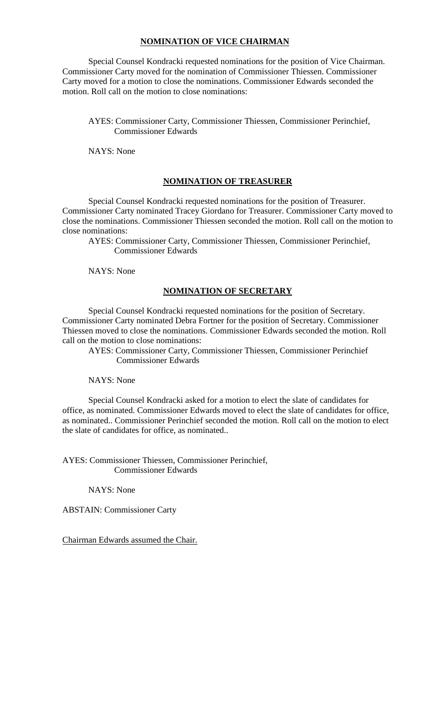# **NOMINATION OF VICE CHAIRMAN**

Special Counsel Kondracki requested nominations for the position of Vice Chairman. Commissioner Carty moved for the nomination of Commissioner Thiessen. Commissioner Carty moved for a motion to close the nominations. Commissioner Edwards seconded the motion. Roll call on the motion to close nominations:

# AYES: Commissioner Carty, Commissioner Thiessen, Commissioner Perinchief, Commissioner Edwards

NAYS: None

## **NOMINATION OF TREASURER**

Special Counsel Kondracki requested nominations for the position of Treasurer. Commissioner Carty nominated Tracey Giordano for Treasurer. Commissioner Carty moved to close the nominations. Commissioner Thiessen seconded the motion. Roll call on the motion to close nominations:

AYES: Commissioner Carty, Commissioner Thiessen, Commissioner Perinchief, Commissioner Edwards

NAYS: None

## **NOMINATION OF SECRETARY**

Special Counsel Kondracki requested nominations for the position of Secretary. Commissioner Carty nominated Debra Fortner for the position of Secretary. Commissioner Thiessen moved to close the nominations. Commissioner Edwards seconded the motion. Roll call on the motion to close nominations:

 AYES: Commissioner Carty, Commissioner Thiessen, Commissioner Perinchief Commissioner Edwards

### NAYS: None

Special Counsel Kondracki asked for a motion to elect the slate of candidates for office, as nominated. Commissioner Edwards moved to elect the slate of candidates for office, as nominated.. Commissioner Perinchief seconded the motion. Roll call on the motion to elect the slate of candidates for office, as nominated..

AYES: Commissioner Thiessen, Commissioner Perinchief, Commissioner Edwards

#### NAYS: None

ABSTAIN: Commissioner Carty

Chairman Edwards assumed the Chair.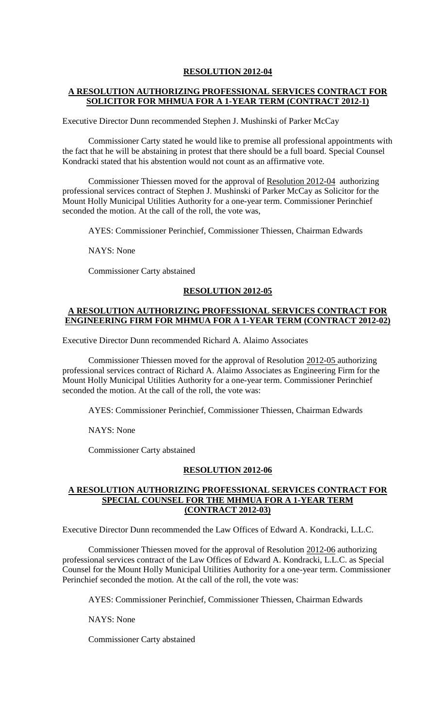# **A RESOLUTION AUTHORIZING PROFESSIONAL SERVICES CONTRACT FOR SOLICITOR FOR MHMUA FOR A 1-YEAR TERM (CONTRACT 2012-1)**

Executive Director Dunn recommended Stephen J. Mushinski of Parker McCay

Commissioner Carty stated he would like to premise all professional appointments with the fact that he will be abstaining in protest that there should be a full board. Special Counsel Kondracki stated that his abstention would not count as an affirmative vote.

Commissioner Thiessen moved for the approval of Resolution 2012-04 authorizing professional services contract of Stephen J. Mushinski of Parker McCay as Solicitor for the Mount Holly Municipal Utilities Authority for a one-year term. Commissioner Perinchief seconded the motion. At the call of the roll, the vote was,

AYES: Commissioner Perinchief, Commissioner Thiessen, Chairman Edwards

NAYS: None

Commissioner Carty abstained

## **RESOLUTION 2012-05**

## **A RESOLUTION AUTHORIZING PROFESSIONAL SERVICES CONTRACT FOR ENGINEERING FIRM FOR MHMUA FOR A 1-YEAR TERM (CONTRACT 2012-02)**

Executive Director Dunn recommended Richard A. Alaimo Associates

Commissioner Thiessen moved for the approval of Resolution 2012-05 authorizing professional services contract of Richard A. Alaimo Associates as Engineering Firm for the Mount Holly Municipal Utilities Authority for a one-year term. Commissioner Perinchief seconded the motion. At the call of the roll, the vote was:

AYES: Commissioner Perinchief, Commissioner Thiessen, Chairman Edwards

NAYS: None

Commissioner Carty abstained

## **RESOLUTION 2012-06**

## **A RESOLUTION AUTHORIZING PROFESSIONAL SERVICES CONTRACT FOR SPECIAL COUNSEL FOR THE MHMUA FOR A 1-YEAR TERM (CONTRACT 2012-03)**

Executive Director Dunn recommended the Law Offices of Edward A. Kondracki, L.L.C.

Commissioner Thiessen moved for the approval of Resolution 2012-06 authorizing professional services contract of the Law Offices of Edward A. Kondracki, L.L.C. as Special Counsel for the Mount Holly Municipal Utilities Authority for a one-year term. Commissioner Perinchief seconded the motion. At the call of the roll, the vote was:

AYES: Commissioner Perinchief, Commissioner Thiessen, Chairman Edwards

NAYS: None

Commissioner Carty abstained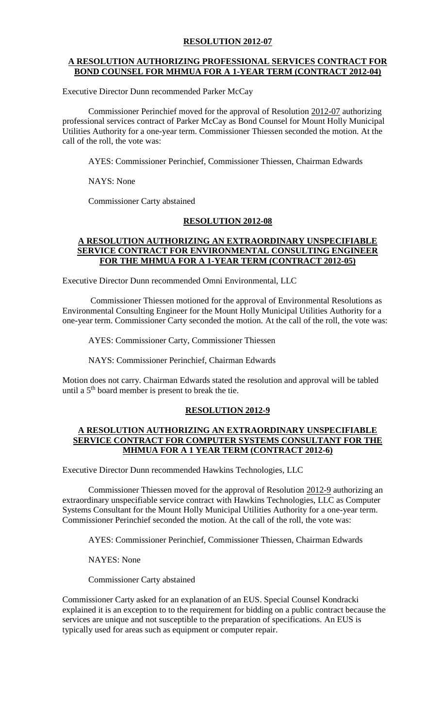## **A RESOLUTION AUTHORIZING PROFESSIONAL SERVICES CONTRACT FOR BOND COUNSEL FOR MHMUA FOR A 1-YEAR TERM (CONTRACT 2012-04)**

Executive Director Dunn recommended Parker McCay

Commissioner Perinchief moved for the approval of Resolution 2012-07 authorizing professional services contract of Parker McCay as Bond Counsel for Mount Holly Municipal Utilities Authority for a one-year term. Commissioner Thiessen seconded the motion. At the call of the roll, the vote was:

AYES: Commissioner Perinchief, Commissioner Thiessen, Chairman Edwards

NAYS: None

Commissioner Carty abstained

# **RESOLUTION 2012-08**

## **A RESOLUTION AUTHORIZING AN EXTRAORDINARY UNSPECIFIABLE SERVICE CONTRACT FOR ENVIRONMENTAL CONSULTING ENGINEER FOR THE MHMUA FOR A 1-YEAR TERM (CONTRACT 2012-05)**

Executive Director Dunn recommended Omni Environmental, LLC

Commissioner Thiessen motioned for the approval of Environmental Resolutions as Environmental Consulting Engineer for the Mount Holly Municipal Utilities Authority for a one-year term. Commissioner Carty seconded the motion. At the call of the roll, the vote was:

AYES: Commissioner Carty, Commissioner Thiessen

NAYS: Commissioner Perinchief, Chairman Edwards

Motion does not carry. Chairman Edwards stated the resolution and approval will be tabled until a  $5<sup>th</sup>$  board member is present to break the tie.

### **RESOLUTION 2012-9**

# **A RESOLUTION AUTHORIZING AN EXTRAORDINARY UNSPECIFIABLE SERVICE CONTRACT FOR COMPUTER SYSTEMS CONSULTANT FOR THE MHMUA FOR A 1 YEAR TERM (CONTRACT 2012-6)**

Executive Director Dunn recommended Hawkins Technologies, LLC

Commissioner Thiessen moved for the approval of Resolution 2012-9 authorizing an extraordinary unspecifiable service contract with Hawkins Technologies, LLC as Computer Systems Consultant for the Mount Holly Municipal Utilities Authority for a one-year term. Commissioner Perinchief seconded the motion. At the call of the roll, the vote was:

AYES: Commissioner Perinchief, Commissioner Thiessen, Chairman Edwards

NAYES: None

Commissioner Carty abstained

Commissioner Carty asked for an explanation of an EUS. Special Counsel Kondracki explained it is an exception to to the requirement for bidding on a public contract because the services are unique and not susceptible to the preparation of specifications. An EUS is typically used for areas such as equipment or computer repair.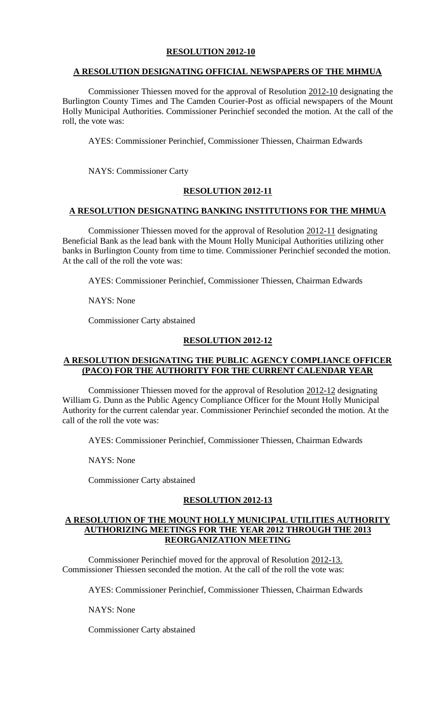# **A RESOLUTION DESIGNATING OFFICIAL NEWSPAPERS OF THE MHMUA**

Commissioner Thiessen moved for the approval of Resolution 2012-10 designating the Burlington County Times and The Camden Courier-Post as official newspapers of the Mount Holly Municipal Authorities. Commissioner Perinchief seconded the motion. At the call of the roll, the vote was:

AYES: Commissioner Perinchief, Commissioner Thiessen, Chairman Edwards

NAYS: Commissioner Carty

# **RESOLUTION 2012-11**

# **A RESOLUTION DESIGNATING BANKING INSTITUTIONS FOR THE MHMUA**

Commissioner Thiessen moved for the approval of Resolution 2012-11 designating Beneficial Bank as the lead bank with the Mount Holly Municipal Authorities utilizing other banks in Burlington County from time to time. Commissioner Perinchief seconded the motion. At the call of the roll the vote was:

AYES: Commissioner Perinchief, Commissioner Thiessen, Chairman Edwards

NAYS: None

Commissioner Carty abstained

# **RESOLUTION 2012-12**

# **A RESOLUTION DESIGNATING THE PUBLIC AGENCY COMPLIANCE OFFICER (PACO) FOR THE AUTHORITY FOR THE CURRENT CALENDAR YEAR**

Commissioner Thiessen moved for the approval of Resolution 2012-12 designating William G. Dunn as the Public Agency Compliance Officer for the Mount Holly Municipal Authority for the current calendar year. Commissioner Perinchief seconded the motion. At the call of the roll the vote was:

AYES: Commissioner Perinchief, Commissioner Thiessen, Chairman Edwards

NAYS: None

Commissioner Carty abstained

# **RESOLUTION 2012-13**

# **A RESOLUTION OF THE MOUNT HOLLY MUNICIPAL UTILITIES AUTHORITY AUTHORIZING MEETINGS FOR THE YEAR 2012 THROUGH THE 2013 REORGANIZATION MEETING**

Commissioner Perinchief moved for the approval of Resolution 2012-13. Commissioner Thiessen seconded the motion. At the call of the roll the vote was:

AYES: Commissioner Perinchief, Commissioner Thiessen, Chairman Edwards

NAYS: None

Commissioner Carty abstained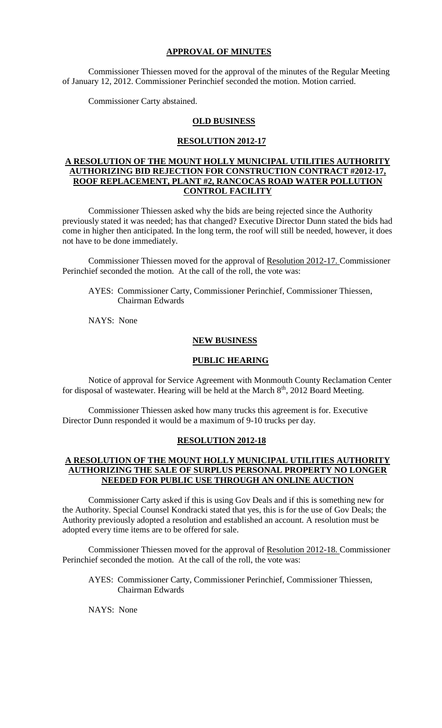## **APPROVAL OF MINUTES**

Commissioner Thiessen moved for the approval of the minutes of the Regular Meeting of January 12, 2012. Commissioner Perinchief seconded the motion. Motion carried.

Commissioner Carty abstained.

## **OLD BUSINESS**

### **RESOLUTION 2012-17**

# **A RESOLUTION OF THE MOUNT HOLLY MUNICIPAL UTILITIES AUTHORITY AUTHORIZING BID REJECTION FOR CONSTRUCTION CONTRACT #2012-17, ROOF REPLACEMENT, PLANT #2, RANCOCAS ROAD WATER POLLUTION CONTROL FACILITY**

Commissioner Thiessen asked why the bids are being rejected since the Authority previously stated it was needed; has that changed? Executive Director Dunn stated the bids had come in higher then anticipated. In the long term, the roof will still be needed, however, it does not have to be done immediately.

Commissioner Thiessen moved for the approval of Resolution 2012-17. Commissioner Perinchief seconded the motion. At the call of the roll, the vote was:

AYES: Commissioner Carty, Commissioner Perinchief, Commissioner Thiessen, Chairman Edwards

NAYS: None

#### **NEW BUSINESS**

## **PUBLIC HEARING**

Notice of approval for Service Agreement with Monmouth County Reclamation Center for disposal of wastewater. Hearing will be held at the March  $8<sup>th</sup>$ , 2012 Board Meeting.

Commissioner Thiessen asked how many trucks this agreement is for. Executive Director Dunn responded it would be a maximum of 9-10 trucks per day.

## **RESOLUTION 2012-18**

## **A RESOLUTION OF THE MOUNT HOLLY MUNICIPAL UTILITIES AUTHORITY AUTHORIZING THE SALE OF SURPLUS PERSONAL PROPERTY NO LONGER NEEDED FOR PUBLIC USE THROUGH AN ONLINE AUCTION**

Commissioner Carty asked if this is using Gov Deals and if this is something new for the Authority. Special Counsel Kondracki stated that yes, this is for the use of Gov Deals; the Authority previously adopted a resolution and established an account. A resolution must be adopted every time items are to be offered for sale.

Commissioner Thiessen moved for the approval of Resolution 2012-18. Commissioner Perinchief seconded the motion. At the call of the roll, the vote was:

AYES: Commissioner Carty, Commissioner Perinchief, Commissioner Thiessen, Chairman Edwards

NAYS: None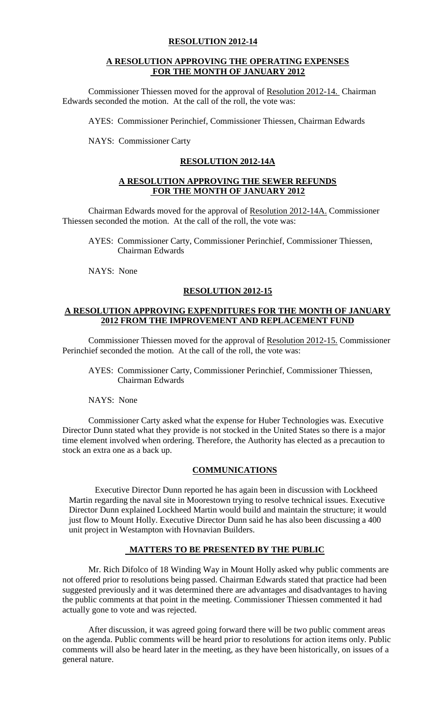## **A RESOLUTION APPROVING THE OPERATING EXPENSES FOR THE MONTH OF JANUARY 2012**

Commissioner Thiessen moved for the approval of Resolution 2012-14. Chairman Edwards seconded the motion. At the call of the roll, the vote was:

AYES: Commissioner Perinchief, Commissioner Thiessen, Chairman Edwards

NAYS: Commissioner Carty

## **RESOLUTION 2012-14A**

## **A RESOLUTION APPROVING THE SEWER REFUNDS FOR THE MONTH OF JANUARY 2012**

Chairman Edwards moved for the approval of Resolution 2012-14A. Commissioner Thiessen seconded the motion. At the call of the roll, the vote was:

AYES: Commissioner Carty, Commissioner Perinchief, Commissioner Thiessen, Chairman Edwards

NAYS: None

## **RESOLUTION 2012-15**

## **A RESOLUTION APPROVING EXPENDITURES FOR THE MONTH OF JANUARY 2012 FROM THE IMPROVEMENT AND REPLACEMENT FUND**

Commissioner Thiessen moved for the approval of Resolution 2012-15. Commissioner Perinchief seconded the motion. At the call of the roll, the vote was:

AYES: Commissioner Carty, Commissioner Perinchief, Commissioner Thiessen, Chairman Edwards

## NAYS: None

 Commissioner Carty asked what the expense for Huber Technologies was. Executive Director Dunn stated what they provide is not stocked in the United States so there is a major time element involved when ordering. Therefore, the Authority has elected as a precaution to stock an extra one as a back up.

## **COMMUNICATIONS**

Executive Director Dunn reported he has again been in discussion with Lockheed Martin regarding the naval site in Moorestown trying to resolve technical issues. Executive Director Dunn explained Lockheed Martin would build and maintain the structure; it would just flow to Mount Holly. Executive Director Dunn said he has also been discussing a 400 unit project in Westampton with Hovnavian Builders.

# **MATTERS TO BE PRESENTED BY THE PUBLIC**

Mr. Rich Difolco of 18 Winding Way in Mount Holly asked why public comments are not offered prior to resolutions being passed. Chairman Edwards stated that practice had been suggested previously and it was determined there are advantages and disadvantages to having the public comments at that point in the meeting. Commissioner Thiessen commented it had actually gone to vote and was rejected.

After discussion, it was agreed going forward there will be two public comment areas on the agenda. Public comments will be heard prior to resolutions for action items only. Public comments will also be heard later in the meeting, as they have been historically, on issues of a general nature.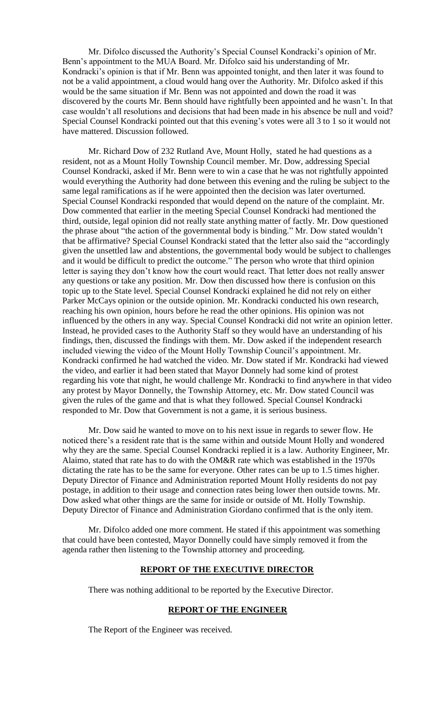Mr. Difolco discussed the Authority's Special Counsel Kondracki's opinion of Mr. Benn's appointment to the MUA Board. Mr. Difolco said his understanding of Mr. Kondracki's opinion is that if Mr. Benn was appointed tonight, and then later it was found to not be a valid appointment, a cloud would hang over the Authority. Mr. Difolco asked if this would be the same situation if Mr. Benn was not appointed and down the road it was discovered by the courts Mr. Benn should have rightfully been appointed and he wasn't. In that case wouldn't all resolutions and decisions that had been made in his absence be null and void? Special Counsel Kondracki pointed out that this evening's votes were all 3 to 1 so it would not have mattered. Discussion followed.

Mr. Richard Dow of 232 Rutland Ave, Mount Holly, stated he had questions as a resident, not as a Mount Holly Township Council member. Mr. Dow, addressing Special Counsel Kondracki, asked if Mr. Benn were to win a case that he was not rightfully appointed would everything the Authority had done between this evening and the ruling be subject to the same legal ramifications as if he were appointed then the decision was later overturned. Special Counsel Kondracki responded that would depend on the nature of the complaint. Mr. Dow commented that earlier in the meeting Special Counsel Kondracki had mentioned the third, outside, legal opinion did not really state anything matter of factly. Mr. Dow questioned the phrase about "the action of the governmental body is binding." Mr. Dow stated wouldn't that be affirmative? Special Counsel Kondracki stated that the letter also said the "accordingly given the unsettled law and abstentions, the governmental body would be subject to challenges and it would be difficult to predict the outcome." The person who wrote that third opinion letter is saying they don't know how the court would react. That letter does not really answer any questions or take any position. Mr. Dow then discussed how there is confusion on this topic up to the State level. Special Counsel Kondracki explained he did not rely on either Parker McCays opinion or the outside opinion. Mr. Kondracki conducted his own research, reaching his own opinion, hours before he read the other opinions. His opinion was not influenced by the others in any way. Special Counsel Kondracki did not write an opinion letter. Instead, he provided cases to the Authority Staff so they would have an understanding of his findings, then, discussed the findings with them. Mr. Dow asked if the independent research included viewing the video of the Mount Holly Township Council's appointment. Mr. Kondracki confirmed he had watched the video. Mr. Dow stated if Mr. Kondracki had viewed the video, and earlier it had been stated that Mayor Donnely had some kind of protest regarding his vote that night, he would challenge Mr. Kondracki to find anywhere in that video any protest by Mayor Donnelly, the Township Attorney, etc. Mr. Dow stated Council was given the rules of the game and that is what they followed. Special Counsel Kondracki responded to Mr. Dow that Government is not a game, it is serious business.

Mr. Dow said he wanted to move on to his next issue in regards to sewer flow. He noticed there's a resident rate that is the same within and outside Mount Holly and wondered why they are the same. Special Counsel Kondracki replied it is a law. Authority Engineer, Mr. Alaimo, stated that rate has to do with the OM&R rate which was established in the 1970s dictating the rate has to be the same for everyone. Other rates can be up to 1.5 times higher. Deputy Director of Finance and Administration reported Mount Holly residents do not pay postage, in addition to their usage and connection rates being lower then outside towns. Mr. Dow asked what other things are the same for inside or outside of Mt. Holly Township. Deputy Director of Finance and Administration Giordano confirmed that is the only item.

Mr. Difolco added one more comment. He stated if this appointment was something that could have been contested, Mayor Donnelly could have simply removed it from the agenda rather then listening to the Township attorney and proceeding.

## **REPORT OF THE EXECUTIVE DIRECTOR**

There was nothing additional to be reported by the Executive Director.

### **REPORT OF THE ENGINEER**

The Report of the Engineer was received.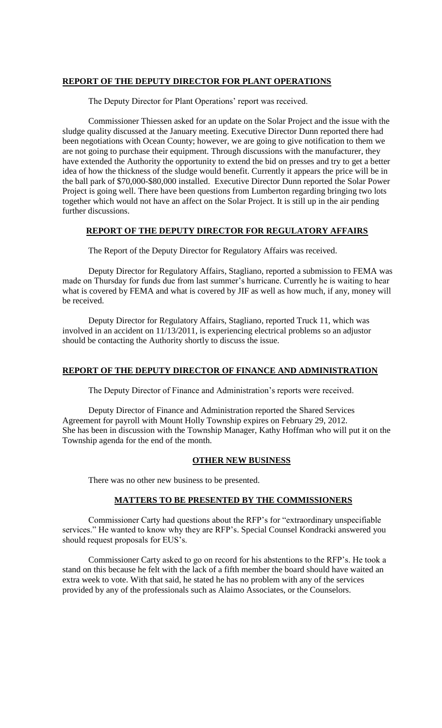### **REPORT OF THE DEPUTY DIRECTOR FOR PLANT OPERATIONS**

The Deputy Director for Plant Operations' report was received.

Commissioner Thiessen asked for an update on the Solar Project and the issue with the sludge quality discussed at the January meeting. Executive Director Dunn reported there had been negotiations with Ocean County; however, we are going to give notification to them we are not going to purchase their equipment. Through discussions with the manufacturer, they have extended the Authority the opportunity to extend the bid on presses and try to get a better idea of how the thickness of the sludge would benefit. Currently it appears the price will be in the ball park of \$70,000-\$80,000 installed. Executive Director Dunn reported the Solar Power Project is going well. There have been questions from Lumberton regarding bringing two lots together which would not have an affect on the Solar Project. It is still up in the air pending further discussions.

## **REPORT OF THE DEPUTY DIRECTOR FOR REGULATORY AFFAIRS**

The Report of the Deputy Director for Regulatory Affairs was received.

Deputy Director for Regulatory Affairs, Stagliano, reported a submission to FEMA was made on Thursday for funds due from last summer's hurricane. Currently he is waiting to hear what is covered by FEMA and what is covered by JIF as well as how much, if any, money will be received.

Deputy Director for Regulatory Affairs, Stagliano, reported Truck 11, which was involved in an accident on 11/13/2011, is experiencing electrical problems so an adjustor should be contacting the Authority shortly to discuss the issue.

### **REPORT OF THE DEPUTY DIRECTOR OF FINANCE AND ADMINISTRATION**

The Deputy Director of Finance and Administration's reports were received.

Deputy Director of Finance and Administration reported the Shared Services Agreement for payroll with Mount Holly Township expires on February 29, 2012. She has been in discussion with the Township Manager, Kathy Hoffman who will put it on the Township agenda for the end of the month.

### **OTHER NEW BUSINESS**

There was no other new business to be presented.

### **MATTERS TO BE PRESENTED BY THE COMMISSIONERS**

Commissioner Carty had questions about the RFP's for "extraordinary unspecifiable services." He wanted to know why they are RFP's. Special Counsel Kondracki answered you should request proposals for EUS's.

Commissioner Carty asked to go on record for his abstentions to the RFP's. He took a stand on this because he felt with the lack of a fifth member the board should have waited an extra week to vote. With that said, he stated he has no problem with any of the services provided by any of the professionals such as Alaimo Associates, or the Counselors.